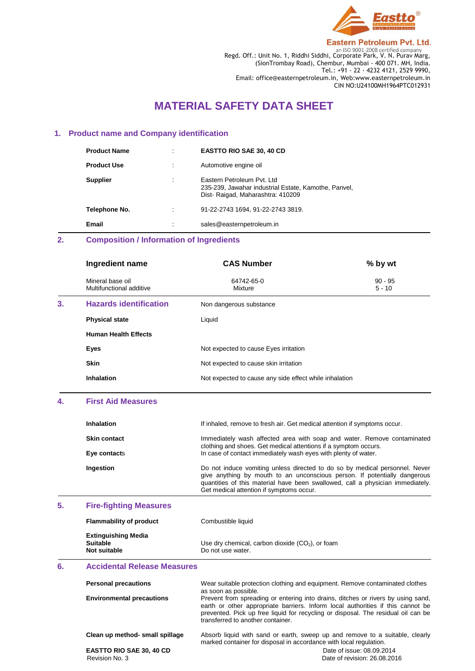

**Eastern Petroleum Pvt. Ltd.** 

Regd. Off.: Unit No. 1, Riddhi Siddhi, Corporate Park, V. N. Purav Marg, (SionTrombay Road), Chembur, Mumbai - 400 071. MH, India. Tel.: +91 - 22 - 4232 4121, 2529 9990, Email: office@easternpetroleum.in, Web:www.easternpetroleum.in CIN NO:U24100MH1964PTC012931

# **MATERIAL SAFETY DATA SHEET**

### **1. Product name and Company identification**

| <b>Product Name</b> | ٠ | <b>EASTTO RIO SAE 30, 40 CD</b>                                                                                         |
|---------------------|---|-------------------------------------------------------------------------------------------------------------------------|
| <b>Product Use</b>  |   | Automotive engine oil                                                                                                   |
| <b>Supplier</b>     | ٠ | Eastern Petroleum Pyt. Ltd.<br>235-239, Jawahar industrial Estate, Kamothe, Panvel,<br>Dist-Raigad, Maharashtra: 410209 |
| Telephone No.       |   | 91-22-2743 1694, 91-22-2743 3819.                                                                                       |
| Email               | ٠ | sales@easternpetroleum.in                                                                                               |

# **2. Composition / Information of Ingredients**

|    | Ingredient name                              | <b>CAS Number</b>                                      | % by wt               |
|----|----------------------------------------------|--------------------------------------------------------|-----------------------|
|    | Mineral base oil<br>Multifunctional additive | 64742-65-0<br>Mixture                                  | $90 - 95$<br>$5 - 10$ |
| 3. | <b>Hazards identification</b>                | Non dangerous substance                                |                       |
|    | <b>Physical state</b>                        | Liquid                                                 |                       |
|    | <b>Human Health Effects</b>                  |                                                        |                       |
|    | Eyes                                         | Not expected to cause Eyes irritation                  |                       |
|    | <b>Skin</b>                                  | Not expected to cause skin irritation                  |                       |
|    | <b>Inhalation</b>                            | Not expected to cause any side effect while inhalation |                       |

### **4. First Aid Measures**

| <b>Inhalation</b>   | If inhaled, remove to fresh air. Get medical attention if symptoms occur.                                                                                                                                                                                                              |
|---------------------|----------------------------------------------------------------------------------------------------------------------------------------------------------------------------------------------------------------------------------------------------------------------------------------|
| <b>Skin contact</b> | Immediately wash affected area with soap and water. Remove contaminated<br>clothing and shoes. Get medical attentions if a symptom occurs.                                                                                                                                             |
| Eye contacts        | In case of contact immediately wash eyes with plenty of water.                                                                                                                                                                                                                         |
| Ingestion           | Do not induce vomiting unless directed to do so by medical personnel. Never<br>give anything by mouth to an unconscious person. If potentially dangerous<br>quantities of this material have been swallowed, call a physician immediately.<br>Get medical attention if symptoms occur. |

# **5. Fire-fighting Measures**

| <b>Flammability of product</b>                                | Combustible liquid                                                      |
|---------------------------------------------------------------|-------------------------------------------------------------------------|
| <b>Extinguishing Media</b><br><b>Suitable</b><br>Not suitable | Use dry chemical, carbon dioxide $(CO2)$ , or foam<br>Do not use water. |

### **6. Accidental Release Measures**

| <b>Personal precautions</b>      | Wear suitable protection clothing and equipment. Remove contaminated clothes<br>as soon as possible.                                                                                                                                                                                          |
|----------------------------------|-----------------------------------------------------------------------------------------------------------------------------------------------------------------------------------------------------------------------------------------------------------------------------------------------|
| <b>Environmental precautions</b> | Prevent from spreading or entering into drains, ditches or rivers by using sand,<br>earth or other appropriate barriers. Inform local authorities if this cannot be<br>prevented. Pick up free liquid for recycling or disposal. The residual oil can be<br>transferred to another container. |
| Clean up method- small spillage  | Absorb liquid with sand or earth, sweep up and remove to a suitable, clearly<br>marked container for disposal in accordance with local regulation.                                                                                                                                            |
| <b>EASTTO RIO SAE 30, 40 CD</b>  | Date of issue: 08.09.2014                                                                                                                                                                                                                                                                     |
| Revision No. 3                   | Date of revision: 26.08.2016                                                                                                                                                                                                                                                                  |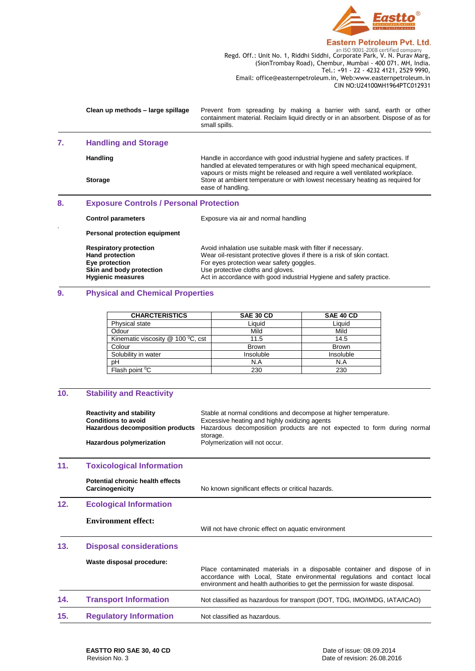

Regd. Off.: Unit No. 1, Riddhi Siddhi, Corporate Park, V. N. Purav Marg, (SionTrombay Road), Chembur, Mumbai - 400 071. MH, India. Tel.: +91 - 22 - 4232 4121, 2529 9990, Email: office@easternpetroleum.in, Web:www.easternpetroleum.in CIN NO:U24100MH1964PTC012931

|                                                      | Clean up methods - large spillage                                                                                                 | Prevent from spreading by making a barrier with sand, earth or other<br>containment material. Reclaim liquid directly or in an absorbent. Dispose of as for<br>small spills.                                                                                                                                                                 |
|------------------------------------------------------|-----------------------------------------------------------------------------------------------------------------------------------|----------------------------------------------------------------------------------------------------------------------------------------------------------------------------------------------------------------------------------------------------------------------------------------------------------------------------------------------|
| 7.                                                   | <b>Handling and Storage</b>                                                                                                       |                                                                                                                                                                                                                                                                                                                                              |
|                                                      | Handling<br><b>Storage</b>                                                                                                        | Handle in accordance with good industrial hygiene and safety practices. If<br>handled at elevated temperatures or with high speed mechanical equipment,<br>vapours or mists might be released and require a well ventilated workplace.<br>Store at ambient temperature or with lowest necessary heating as required for<br>ease of handling. |
| 8.<br><b>Exposure Controls / Personal Protection</b> |                                                                                                                                   |                                                                                                                                                                                                                                                                                                                                              |
|                                                      | <b>Control parameters</b>                                                                                                         | Exposure via air and normal handling                                                                                                                                                                                                                                                                                                         |
|                                                      | <b>Personal protection equipment</b>                                                                                              |                                                                                                                                                                                                                                                                                                                                              |
|                                                      | <b>Respiratory protection</b><br><b>Hand protection</b><br>Eye protection<br>Skin and body protection<br><b>Hygienic measures</b> | Avoid inhalation use suitable mask with filter if necessary.<br>Wear oil-resistant protective gloves if there is a risk of skin contact.<br>For eyes protection wear safety goggles.<br>Use protective cloths and gloves.<br>Act in accordance with good industrial Hygiene and safety practice.                                             |

# **9. Physical and Chemical Properties**

| <b>CHARCTERISTICS</b>               | <b>SAE 30 CD</b> | SAE 40 CD    |
|-------------------------------------|------------------|--------------|
| <b>Physical state</b>               | Liauid           | Liauid       |
| Odour                               | Mild             | Mild         |
| Kinematic viscosity $@$ 100 °C, cst | 11.5             | 14.5         |
| Colour                              | <b>Brown</b>     | <b>Brown</b> |
| Solubility in water                 | Insoluble        | Insoluble    |
| pH                                  | N.A              | N.A          |
| Flash point <sup>o</sup> C          | 230              | 230          |

# **10. Stability and Reactivity**

|     | <b>Reactivity and stability</b><br><b>Conditions to avoid</b><br>Hazardous decomposition products | Stable at normal conditions and decompose at higher temperature.<br>Excessive heating and highly oxidizing agents<br>Hazardous decomposition products are not expected to form during normal<br>storage.                             |
|-----|---------------------------------------------------------------------------------------------------|--------------------------------------------------------------------------------------------------------------------------------------------------------------------------------------------------------------------------------------|
|     | Hazardous polymerization                                                                          | Polymerization will not occur.                                                                                                                                                                                                       |
| 11. | <b>Toxicological Information</b>                                                                  |                                                                                                                                                                                                                                      |
|     | <b>Potential chronic health effects</b><br>Carcinogenicity                                        | No known significant effects or critical hazards.                                                                                                                                                                                    |
| 12. | <b>Ecological Information</b>                                                                     |                                                                                                                                                                                                                                      |
|     | <b>Environment effect:</b>                                                                        | Will not have chronic effect on aquatic environment                                                                                                                                                                                  |
| 13. | <b>Disposal considerations</b>                                                                    |                                                                                                                                                                                                                                      |
|     | Waste disposal procedure:                                                                         | Place contaminated materials in a disposable container and dispose of in<br>accordance with Local, State environmental regulations and contact local<br>environment and health authorities to get the permission for waste disposal. |
| 14. | <b>Transport Information</b>                                                                      | Not classified as hazardous for transport (DOT, TDG, IMO/IMDG, IATA/ICAO)                                                                                                                                                            |
| 15. | <b>Regulatory Information</b>                                                                     | Not classified as hazardous.                                                                                                                                                                                                         |